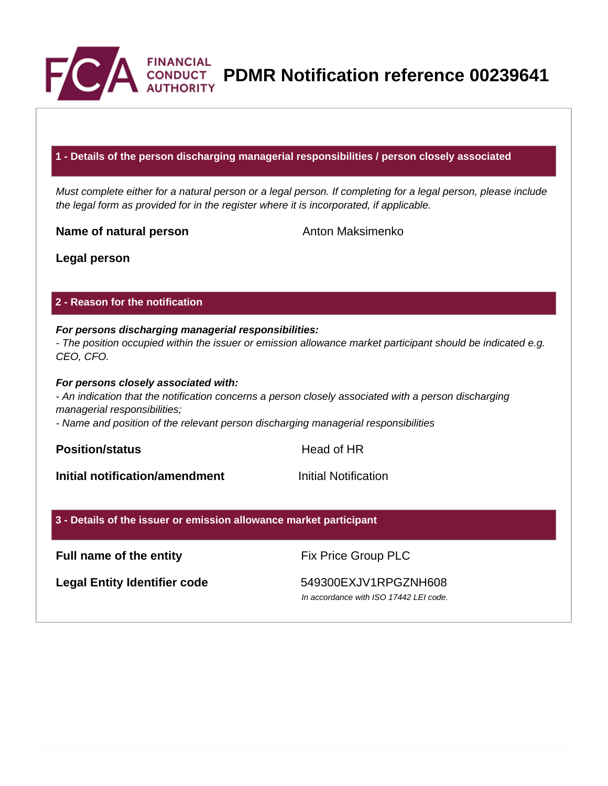

**PDMR Notification reference 00239641**

#### **1 - Details of the person discharging managerial responsibilities / person closely associated**

Must complete either for a natural person or a legal person. If completing for a legal person, please include the legal form as provided for in the register where it is incorporated, if applicable.

**Name of natural person** Anton Maksimenko

**Legal person**

#### **2 - Reason for the notification**

# **For persons discharging managerial responsibilities:**

- The position occupied within the issuer or emission allowance market participant should be indicated e.g. CEO, CFO.

#### **For persons closely associated with:**

- An indication that the notification concerns a person closely associated with a person discharging managerial responsibilities;

- Name and position of the relevant person discharging managerial responsibilities

**Position/status Head of HR** 

**Initial notification/amendment Initial Notification** 

#### **3 - Details of the issuer or emission allowance market participant**

### **Full name of the entity** Fix Price Group PLC

Legal Entity Identifier code 549300EXJV1RPGZNH608

In accordance with ISO 17442 LEI code.